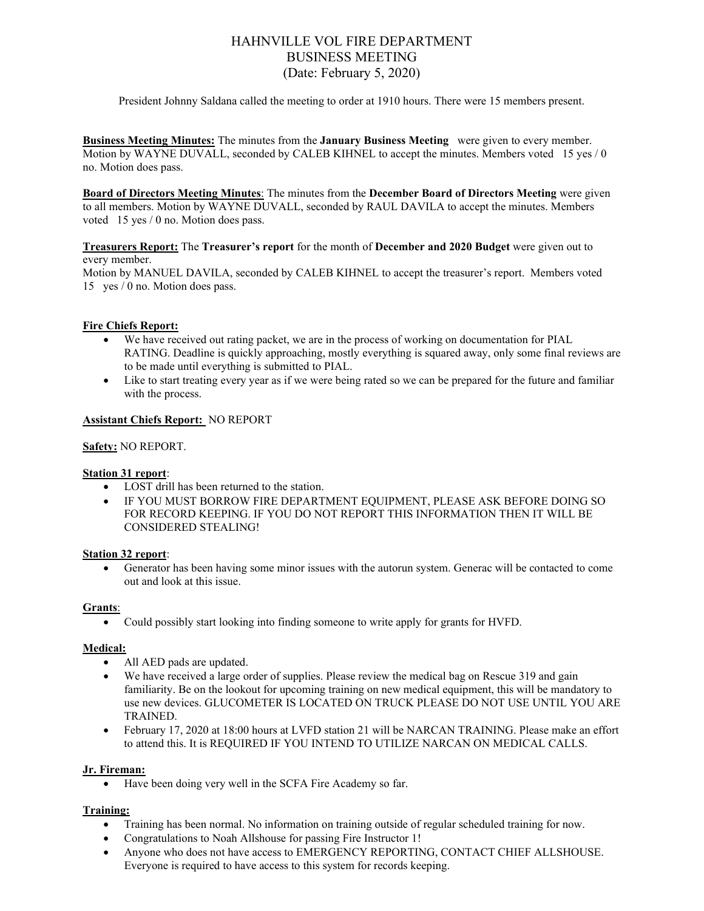# HAHNVILLE VOL FIRE DEPARTMENT BUSINESS MEETING (Date: February 5, 2020)

President Johnny Saldana called the meeting to order at 1910 hours. There were 15 members present.

**Business Meeting Minutes:** The minutes from the **January Business Meeting** were given to every member. Motion by WAYNE DUVALL, seconded by CALEB KIHNEL to accept the minutes. Members voted 15 yes / 0 no. Motion does pass.

**Board of Directors Meeting Minutes**: The minutes from the **December Board of Directors Meeting** were given to all members. Motion by WAYNE DUVALL, seconded by RAUL DAVILA to accept the minutes. Members voted 15 yes / 0 no. Motion does pass.

#### **Treasurers Report:** The **Treasurer's report** for the month of **December and 2020 Budget** were given out to every member.

Motion by MANUEL DAVILA, seconded by CALEB KIHNEL to accept the treasurer's report. Members voted 15 yes / 0 no. Motion does pass.

## **Fire Chiefs Report:**

- We have received out rating packet, we are in the process of working on documentation for PIAL RATING. Deadline is quickly approaching, mostly everything is squared away, only some final reviews are to be made until everything is submitted to PIAL.
- Like to start treating every year as if we were being rated so we can be prepared for the future and familiar with the process.

## **Assistant Chiefs Report:** NO REPORT

## **Safety:** NO REPORT.

## **Station 31 report**:

- LOST drill has been returned to the station.
- IF YOU MUST BORROW FIRE DEPARTMENT EQUIPMENT, PLEASE ASK BEFORE DOING SO FOR RECORD KEEPING. IF YOU DO NOT REPORT THIS INFORMATION THEN IT WILL BE CONSIDERED STEALING!

#### **Station 32 report**:

• Generator has been having some minor issues with the autorun system. Generac will be contacted to come out and look at this issue.

#### **Grants**:

• Could possibly start looking into finding someone to write apply for grants for HVFD.

#### **Medical:**

- All AED pads are updated.
- We have received a large order of supplies. Please review the medical bag on Rescue 319 and gain familiarity. Be on the lookout for upcoming training on new medical equipment, this will be mandatory to use new devices. GLUCOMETER IS LOCATED ON TRUCK PLEASE DO NOT USE UNTIL YOU ARE TRAINED.
- February 17, 2020 at 18:00 hours at LVFD station 21 will be NARCAN TRAINING. Please make an effort to attend this. It is REQUIRED IF YOU INTEND TO UTILIZE NARCAN ON MEDICAL CALLS.

## **Jr. Fireman:**

Have been doing very well in the SCFA Fire Academy so far.

#### **Training:**

- Training has been normal. No information on training outside of regular scheduled training for now.
- Congratulations to Noah Allshouse for passing Fire Instructor 1!
- Anyone who does not have access to EMERGENCY REPORTING, CONTACT CHIEF ALLSHOUSE. Everyone is required to have access to this system for records keeping.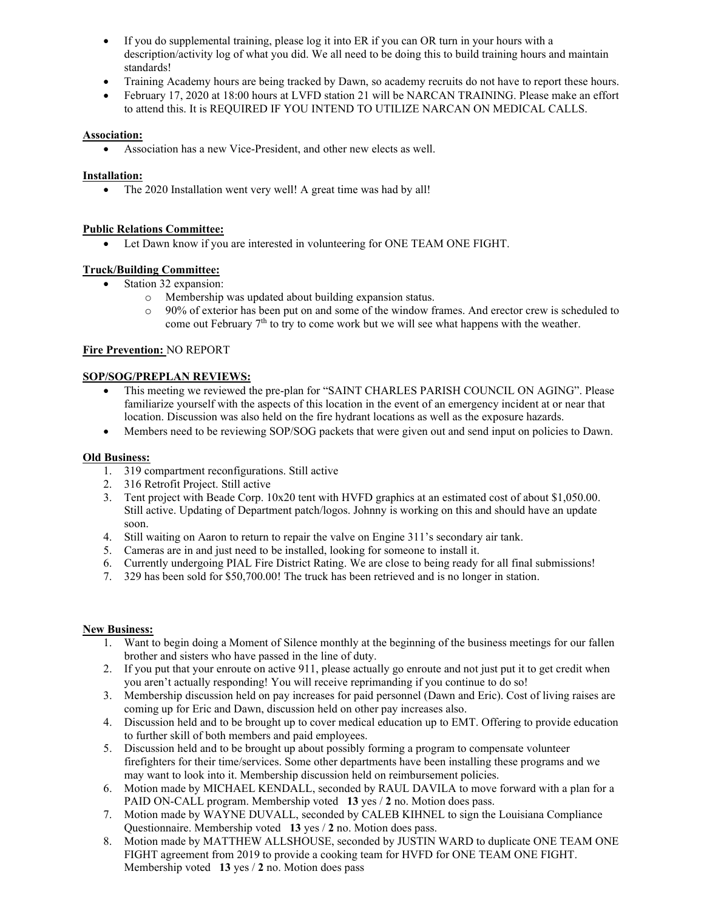- If you do supplemental training, please log it into ER if you can OR turn in your hours with a description/activity log of what you did. We all need to be doing this to build training hours and maintain standards!
- Training Academy hours are being tracked by Dawn, so academy recruits do not have to report these hours.
- February 17, 2020 at 18:00 hours at LVFD station 21 will be NARCAN TRAINING. Please make an effort to attend this. It is REQUIRED IF YOU INTEND TO UTILIZE NARCAN ON MEDICAL CALLS.

## **Association:**

• Association has a new Vice-President, and other new elects as well.

# **Installation:**

• The 2020 Installation went very well! A great time was had by all!

# **Public Relations Committee:**

• Let Dawn know if you are interested in volunteering for ONE TEAM ONE FIGHT.

# **Truck/Building Committee:**

- Station 32 expansion:
	- $\degree$  Membership was updated about building expansion status.<br> $\degree$  90% of exterior has been put on and some of the window fi
	- o 90% of exterior has been put on and some of the window frames. And erector crew is scheduled to come out February  $7<sup>th</sup>$  to try to come work but we will see what happens with the weather.

# **Fire Prevention:** NO REPORT

# **SOP/SOG/PREPLAN REVIEWS:**

- This meeting we reviewed the pre-plan for "SAINT CHARLES PARISH COUNCIL ON AGING". Please familiarize yourself with the aspects of this location in the event of an emergency incident at or near that location. Discussion was also held on the fire hydrant locations as well as the exposure hazards.
- Members need to be reviewing SOP/SOG packets that were given out and send input on policies to Dawn.

# **Old Business:**

- 1. 319 compartment reconfigurations. Still active
- 2. 316 Retrofit Project. Still active
- 3. Tent project with Beade Corp. 10x20 tent with HVFD graphics at an estimated cost of about \$1,050.00. Still active. Updating of Department patch/logos. Johnny is working on this and should have an update soon.
- 4. Still waiting on Aaron to return to repair the valve on Engine 311's secondary air tank.
- 5. Cameras are in and just need to be installed, looking for someone to install it.
- 6. Currently undergoing PIAL Fire District Rating. We are close to being ready for all final submissions!
- 7. 329 has been sold for \$50,700.00! The truck has been retrieved and is no longer in station.

## **New Business:**

- 1. Want to begin doing a Moment of Silence monthly at the beginning of the business meetings for our fallen brother and sisters who have passed in the line of duty.
- 2. If you put that your enroute on active 911, please actually go enroute and not just put it to get credit when you aren't actually responding! You will receive reprimanding if you continue to do so!
- 3. Membership discussion held on pay increases for paid personnel (Dawn and Eric). Cost of living raises are coming up for Eric and Dawn, discussion held on other pay increases also.
- 4. Discussion held and to be brought up to cover medical education up to EMT. Offering to provide education to further skill of both members and paid employees.
- 5. Discussion held and to be brought up about possibly forming a program to compensate volunteer firefighters for their time/services. Some other departments have been installing these programs and we may want to look into it. Membership discussion held on reimbursement policies.
- 6. Motion made by MICHAEL KENDALL, seconded by RAUL DAVILA to move forward with a plan for a PAID ON-CALL program. Membership voted **13** yes / **2** no. Motion does pass.
- 7. Motion made by WAYNE DUVALL, seconded by CALEB KIHNEL to sign the Louisiana Compliance Questionnaire. Membership voted **13** yes / **2** no. Motion does pass.
- 8. Motion made by MATTHEW ALLSHOUSE, seconded by JUSTIN WARD to duplicate ONE TEAM ONE FIGHT agreement from 2019 to provide a cooking team for HVFD for ONE TEAM ONE FIGHT. Membership voted **13** yes / **2** no. Motion does pass